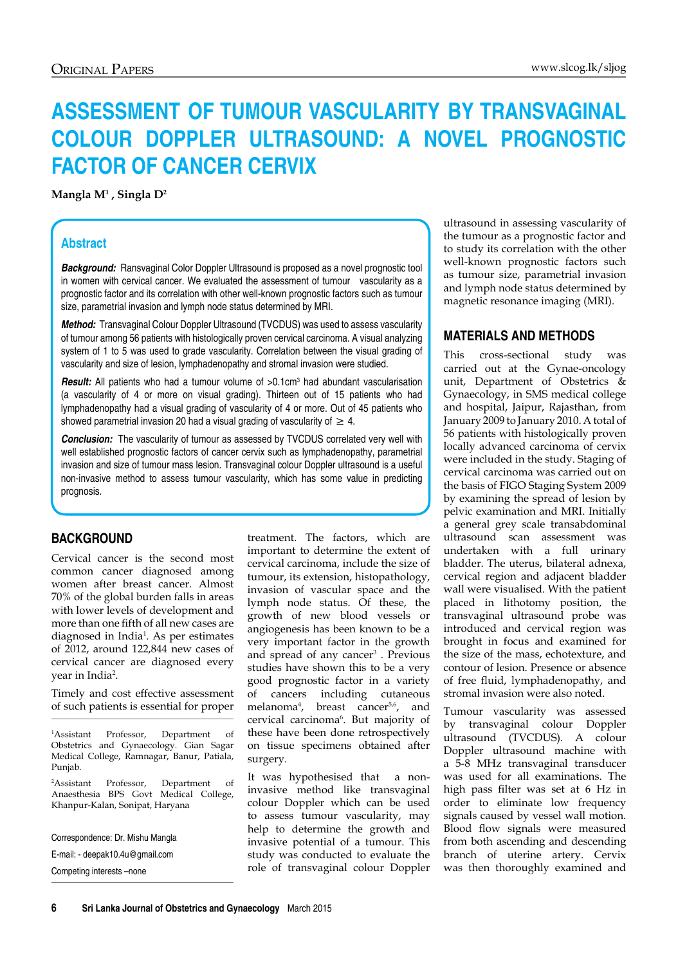# **ASSESSMENT OF TUMOUR VASCULARITY BY TRANSVAGINAL COLOUR DOPPLER ULTRASOUND: A NOVEL PROGNOSTIC FACTOR OF CANCER CERVIX**

**Mangla M1 , Singla D<sup>2</sup>**

# **Abstract**

**Background:** Ransvaginal Color Doppler Ultrasound is proposed as a novel prognostic tool in women with cervical cancer. We evaluated the assessment of tumour vascularity as a prognostic factor and its correlation with other well-known prognostic factors such as tumour size, parametrial invasion and lymph node status determined by MRI.

*Method:* Transvaginal Colour Doppler Ultrasound (TVCDUS) was used to assess vascularity of tumour among 56 patients with histologically proven cervical carcinoma. A visual analyzing system of 1 to 5 was used to grade vascularity. Correlation between the visual grading of vascularity and size of lesion, lymphadenopathy and stromal invasion were studied.

**Result:** All patients who had a tumour volume of >0.1cm<sup>3</sup> had abundant vascularisation (a vascularity of 4 or more on visual grading). Thirteen out of 15 patients who had lymphadenopathy had a visual grading of vascularity of 4 or more. Out of 45 patients who showed parametrial invasion 20 had a visual grading of vascularity of  $\geq 4$ .

*Conclusion:* The vascularity of tumour as assessed by TVCDUS correlated very well with well established prognostic factors of cancer cervix such as lymphadenopathy, parametrial invasion and size of tumour mass lesion. Transvaginal colour Doppler ultrasound is a useful non-invasive method to assess tumour vascularity, which has some value in predicting prognosis.

## **BACKGROUND**

Cervical cancer is the second most common cancer diagnosed among women after breast cancer. Almost 70% of the global burden falls in areas with lower levels of development and more than one fifth of all new cases are diagnosed in India<sup>1</sup>. As per estimates of 2012, around 122,844 new cases of cervical cancer are diagnosed every year in India<sup>2</sup>.

Timely and cost effective assessment of such patients is essential for proper

 $<sup>1</sup>$ Assistant</sup> Professor, Department of Obstetrics and Gynaecology. Gian Sagar Medical College, Ramnagar, Banur, Patiala, Punjab.

2 Assistant Professor, Department of Anaesthesia BPS Govt Medical College, Khanpur-Kalan, Sonipat, Haryana

Correspondence: Dr. Mishu Mangla E-mail: - deepak10.4u@gmail.com

Competing interests –none

treatment. The factors, which are important to determine the extent of cervical carcinoma, include the size of tumour, its extension, histopathology, invasion of vascular space and the lymph node status. Of these, the growth of new blood vessels or angiogenesis has been known to be a very important factor in the growth and spread of any cancer<sup>3</sup>. Previous studies have shown this to be a very good prognostic factor in a variety of cancers including cutaneous melanoma<sup>4</sup>, breast cancer<sup>5,6</sup>, and cervical carcinoma6 . But majority of these have been done retrospectively on tissue specimens obtained after surgery.

It was hypothesised that a noninvasive method like transvaginal colour Doppler which can be used to assess tumour vascularity, may help to determine the growth and invasive potential of a tumour. This study was conducted to evaluate the role of transvaginal colour Doppler

ultrasound in assessing vascularity of the tumour as a prognostic factor and to study its correlation with the other well-known prognostic factors such as tumour size, parametrial invasion and lymph node status determined by magnetic resonance imaging (MRI).

# **MATERIALS AND METHODS**

This cross-sectional study was carried out at the Gynae-oncology unit, Department of Obstetrics & Gynaecology, in SMS medical college and hospital, Jaipur, Rajasthan, from January 2009 to January 2010. A total of 56 patients with histologically proven locally advanced carcinoma of cervix were included in the study. Staging of cervical carcinoma was carried out on the basis of FIGO Staging System 2009 by examining the spread of lesion by pelvic examination and MRI. Initially a general grey scale transabdominal ultrasound scan assessment was undertaken with a full urinary bladder. The uterus, bilateral adnexa, cervical region and adjacent bladder wall were visualised. With the patient placed in lithotomy position, the transvaginal ultrasound probe was introduced and cervical region was brought in focus and examined for the size of the mass, echotexture, and contour of lesion. Presence or absence of free fluid, lymphadenopathy, and stromal invasion were also noted.

Tumour vascularity was assessed by transvaginal colour Doppler ultrasound (TVCDUS). A colour Doppler ultrasound machine with a 5-8 MHz transvaginal transducer was used for all examinations. The high pass filter was set at 6 Hz in order to eliminate low frequency signals caused by vessel wall motion. Blood flow signals were measured from both ascending and descending branch of uterine artery. Cervix was then thoroughly examined and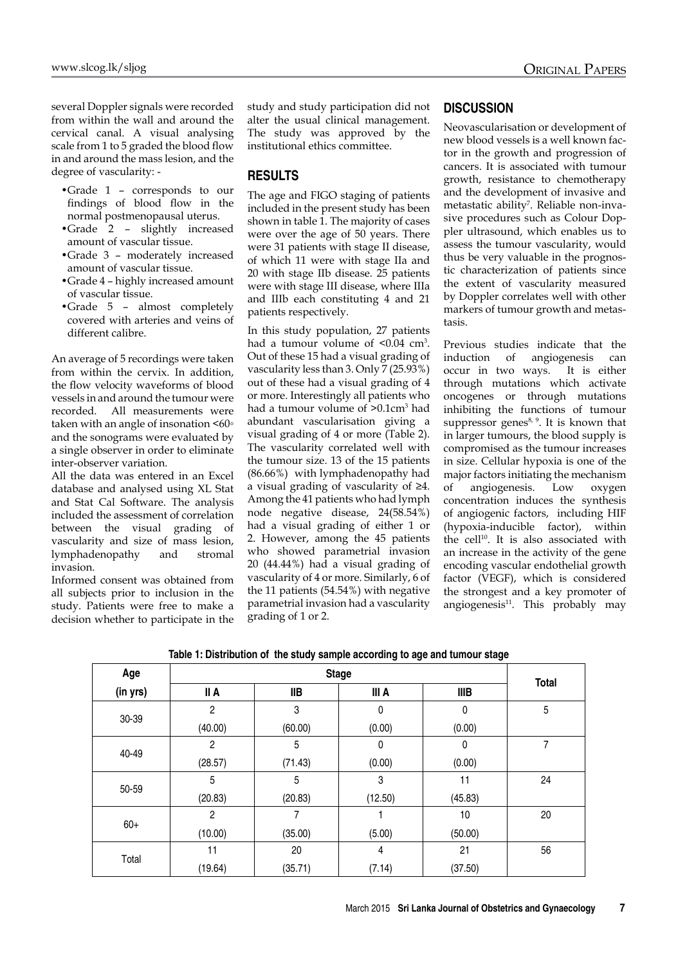several Doppler signals were recorded from within the wall and around the cervical canal. A visual analysing scale from 1 to 5 graded the blood flow in and around the mass lesion, and the degree of vascularity: -

- •Grade 1 corresponds to our findings of blood flow in the normal postmenopausal uterus.
- •Grade 2 slightly increased amount of vascular tissue.
- •Grade 3 moderately increased amount of vascular tissue.
- •Grade 4 highly increased amount of vascular tissue.
- •Grade 5 almost completely covered with arteries and veins of different calibre.

An average of 5 recordings were taken from within the cervix. In addition, the flow velocity waveforms of blood vessels in and around the tumour were recorded. All measurements were taken with an angle of insonation <60∘ and the sonograms were evaluated by a single observer in order to eliminate inter-observer variation.

All the data was entered in an Excel database and analysed using XL Stat and Stat Cal Software. The analysis included the assessment of correlation between the visual grading of vascularity and size of mass lesion, lymphadenopathy and stromal invasion.

Informed consent was obtained from all subjects prior to inclusion in the study. Patients were free to make a decision whether to participate in the study and study participation did not alter the usual clinical management. The study was approved by the institutional ethics committee.

#### **RESULTS**

The age and FIGO staging of patients included in the present study has been shown in table 1. The majority of cases were over the age of 50 years. There were 31 patients with stage II disease, of which 11 were with stage IIa and 20 with stage IIb disease. 25 patients were with stage III disease, where IIIa and IIIb each constituting 4 and 21 patients respectively.

In this study population, 27 patients had a tumour volume of <0.04 cm<sup>3</sup>. Out of these 15 had a visual grading of vascularity less than 3. Only 7 (25.93%) out of these had a visual grading of 4 or more. Interestingly all patients who had a tumour volume of >0.1cm<sup>3</sup> had abundant vascularisation giving a visual grading of 4 or more (Table 2). The vascularity correlated well with the tumour size. 13 of the 15 patients (86.66%) with lymphadenopathy had a visual grading of vascularity of ≥4. Among the 41 patients who had lymph node negative disease, 24(58.54%) had a visual grading of either 1 or 2. However, among the 45 patients who showed parametrial invasion 20 (44.44%) had a visual grading of vascularity of 4 or more. Similarly, 6 of the 11 patients (54.54%) with negative parametrial invasion had a vascularity grading of 1 or 2.

#### **DISCUSSION**

Neovascularisation or development of new blood vessels is a well known factor in the growth and progression of cancers. It is associated with tumour growth, resistance to chemotherapy and the development of invasive and metastatic ability<sup>7</sup>. Reliable non-invasive procedures such as Colour Doppler ultrasound, which enables us to assess the tumour vascularity, would thus be very valuable in the prognostic characterization of patients since the extent of vascularity measured by Doppler correlates well with other markers of tumour growth and metastasis.

Previous studies indicate that the induction of angiogenesis can occur in two ways. It is either through mutations which activate oncogenes or through mutations inhibiting the functions of tumour suppressor genes<sup>8, 9</sup>. It is known that in larger tumours, the blood supply is compromised as the tumour increases in size. Cellular hypoxia is one of the major factors initiating the mechanism of angiogenesis. Low oxygen concentration induces the synthesis of angiogenic factors, including HIF (hypoxia-inducible factor), within the cell<sup>10</sup>. It is also associated with an increase in the activity of the gene encoding vascular endothelial growth factor (VEGF), which is considered the strongest and a key promoter of angiogenesis<sup>11</sup>. This probably may

| Age      |                | <b>Total</b> |                    |             |    |
|----------|----------------|--------------|--------------------|-------------|----|
| (in yrs) | II A           | <b>IIB</b>   | III A              | <b>IIIB</b> |    |
| 30-39    | $\overline{2}$ | 3            | 0                  | 0           | 5  |
|          | (40.00)        | (60.00)      | (0.00)             | (0.00)      |    |
| 40-49    | $\overline{2}$ | 5            | 0                  | 0           | 7  |
|          | (28.57)        | (71.43)      | (0.00)             | (0.00)      |    |
| 50-59    | 5              | 5            | 3                  | 11          | 24 |
|          | (20.83)        | (20.83)      | (45.83)<br>(12.50) |             |    |
| $60+$    | 2              | 7            |                    | 10          | 20 |
|          | (10.00)        | (35.00)      | (5.00)             | (50.00)     |    |
| Total    | 11             | 20           | 4                  | 21          | 56 |
|          | (19.64)        | (35.71)      | (7.14)             | (37.50)     |    |

**Table 1: Distribution of the study sample according to age and tumour stage**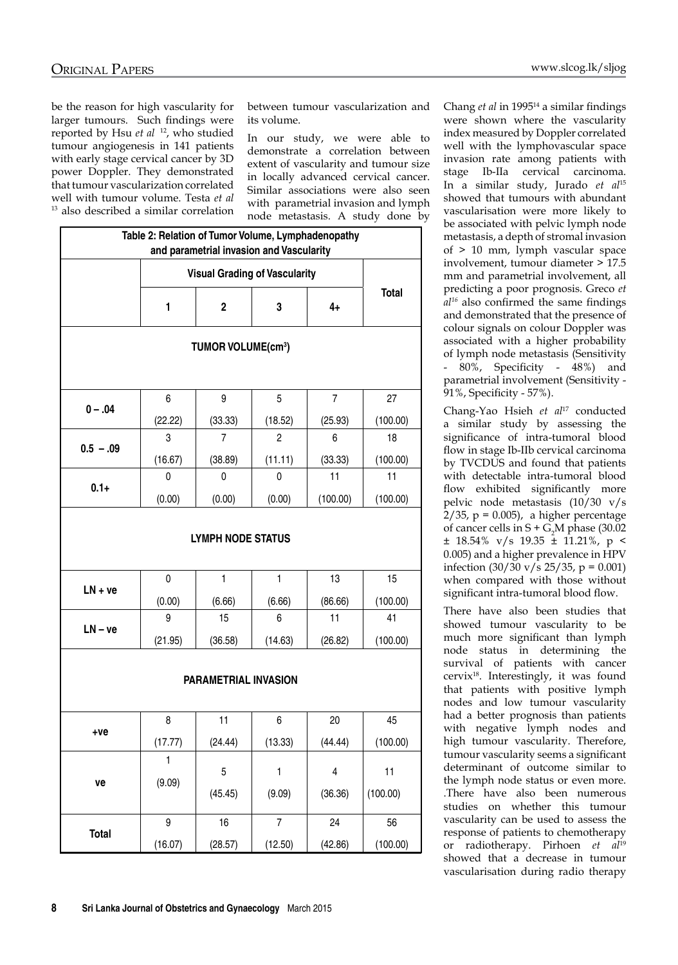be the reason for high vascularity for larger tumours. Such findings were reported by Hsu et al <sup>12</sup>, who studied tumour angiogenesis in 141 patients with early stage cervical cancer by 3D power Doppler. They demonstrated that tumour vascularization correlated well with tumour volume. Testa *et al* 13 also described a similar correlation between tumour vascularization and its volume.

In our study, we were able to demonstrate a correlation between extent of vascularity and tumour size in locally advanced cervical cancer. Similar associations were also seen with parametrial invasion and lymph node metastasis. A study done by

|             | Table 2: Relation of Tumor Volume, Lymphadenopathy |                                | and parametrial invasion and Vascularity |                |                |  |
|-------------|----------------------------------------------------|--------------------------------|------------------------------------------|----------------|----------------|--|
|             | <b>Visual Grading of Vascularity</b>               |                                |                                          |                |                |  |
|             | 1                                                  | $\mathbf 2$                    | 3                                        | $4+$           | <b>Total</b>   |  |
|             |                                                    | TUMOR VOLUME(cm <sup>3</sup> ) |                                          |                |                |  |
|             | 6                                                  | 9                              | 5                                        | $\overline{7}$ | 27             |  |
| $0 - .04$   | (22.22)                                            | (33.33)                        | (18.52)                                  | (25.93)        | (100.00)       |  |
|             | 3                                                  | $\overline{7}$                 | $\overline{2}$                           | 6              | 18             |  |
| $0.5 - .09$ | (16.67)                                            | (38.89)                        | (11.11)                                  | (33.33)        | (100.00)       |  |
|             | 0                                                  | 0                              | 0                                        | 11             | 11             |  |
| $0.1 +$     | (0.00)                                             | (0.00)                         | (0.00)                                   | (100.00)       | (100.00)       |  |
| $LN + ve$   | $\mathbf 0$                                        | $\mathbf{1}$                   | $\mathbf{1}$                             | 13             | 15             |  |
|             | (0.00)                                             | (6.66)                         | (6.66)                                   | (86.66)        | (100.00)       |  |
| $LN - ve$   | 9                                                  | 15                             | 6                                        | 11             | 41             |  |
|             | (21.95)                                            | (36.58)                        | (14.63)                                  | (26.82)        | (100.00)       |  |
|             |                                                    | <b>PARAMETRIAL INVASION</b>    |                                          |                |                |  |
| +ve         | 8                                                  | 11                             | 6                                        | 20             | 45             |  |
|             | (17.77)                                            | (24.44)                        | (13.33)                                  | (44.44)        | (100.00)       |  |
| ve          | $\mathbf 1$<br>(9.09)                              | 5<br>(45.45)                   | 1<br>(9.09)                              | 4<br>(36.36)   | 11<br>(100.00) |  |
|             |                                                    |                                |                                          |                |                |  |

Chang *et al* in 199514 a similar findings were shown where the vascularity index measured by Doppler correlated well with the lymphovascular space invasion rate among patients with stage Ib-IIa cervical carcinoma. In a similar study, Jurado *et al*<sup>15</sup> showed that tumours with abundant vascularisation were more likely to be associated with pelvic lymph node metastasis, a depth of stromal invasion of > 10 mm, lymph vascular space involvement, tumour diameter > 17.5 mm and parametrial involvement, all predicting a poor prognosis. Greco *et al16* also confirmed the same findings and demonstrated that the presence of colour signals on colour Doppler was associated with a higher probability of lymph node metastasis (Sensitivity - 80%, Specificity - 48%) and parametrial involvement (Sensitivity - 91%, Specificity - 57%).

Chang-Yao Hsieh *et al*17 conducted a similar study by assessing the significance of intra-tumoral blood flow in stage Ib-IIb cervical carcinoma by TVCDUS and found that patients with detectable intra-tumoral blood flow exhibited significantly more pelvic node metastasis (10/30 v/s  $2/35$ , p = 0.005), a higher percentage of cancer cells in  $S + G_2M$  phase (30.02  $\pm$  18.54% v/s 19.35  $\pm$  11.21%, p < 0.005) and a higher prevalence in HPV infection  $(30/30 \text{ v/s } 25/35, \text{ p} = 0.001)$ when compared with those without significant intra-tumoral blood flow.

There have also been studies that showed tumour vascularity to be much more significant than lymph node status in determining the survival of patients with cancer cervix<sup>18</sup>. Interestingly, it was found that patients with positive lymph nodes and low tumour vascularity had a better prognosis than patients with negative lymph nodes and high tumour vascularity. Therefore, tumour vascularity seems a significant determinant of outcome similar to the lymph node status or even more. .There have also been numerous studies on whether this tumour vascularity can be used to assess the response of patients to chemotherapy or radiotherapy. Pirhoen *et al*<sup>19</sup> showed that a decrease in tumour vascularisation during radio therapy